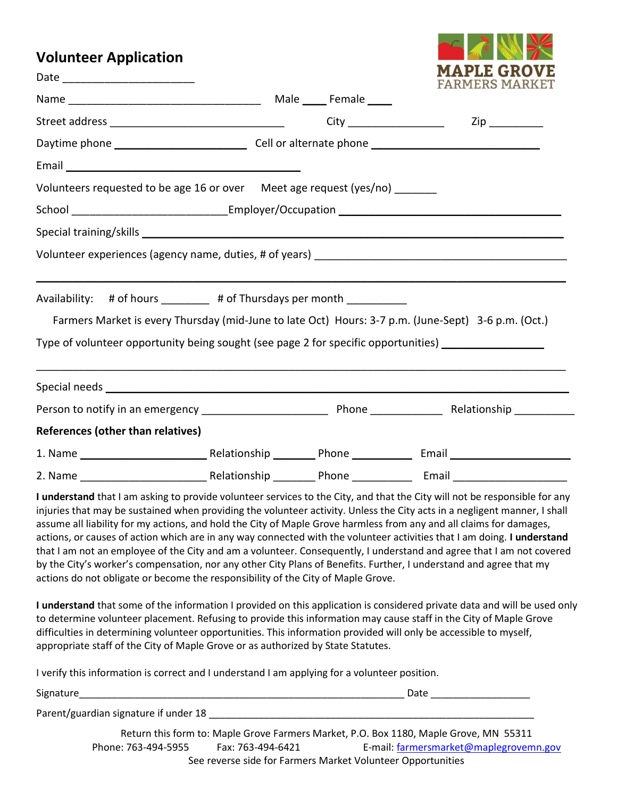## **Volunteer Application**

Date \_\_\_\_\_\_\_\_\_\_\_\_\_\_\_\_\_\_\_\_\_\_



|                                                                                                     |  | FARMERS MARKET      |
|-----------------------------------------------------------------------------------------------------|--|---------------------|
|                                                                                                     |  |                     |
|                                                                                                     |  | $\mathsf{Zip} \_\_$ |
|                                                                                                     |  |                     |
|                                                                                                     |  |                     |
| Volunteers requested to be age 16 or over Meet age request (yes/no) _______                         |  |                     |
|                                                                                                     |  |                     |
|                                                                                                     |  |                     |
| Volunteer experiences (agency name, duties, # of years) ________________________                    |  |                     |
|                                                                                                     |  |                     |
| Availability: # of hours ________ # of Thursdays per month _________                                |  |                     |
| Farmers Market is every Thursday (mid-June to late Oct) Hours: 3-7 p.m. (June-Sept) 3-6 p.m. (Oct.) |  |                     |
| Type of volunteer opportunity being sought (see page 2 for specific opportunities) ________________ |  |                     |
|                                                                                                     |  |                     |
|                                                                                                     |  |                     |
|                                                                                                     |  |                     |
| References (other than relatives)                                                                   |  |                     |
|                                                                                                     |  |                     |
|                                                                                                     |  |                     |

**I understand** that I am asking to provide volunteer services to the City, and that the City will not be responsible for any injuries that may be sustained when providing the volunteer activity. Unless the City acts in a negligent manner, I shall assume all liability for my actions, and hold the City of Maple Grove harmless from any and all claims for damages, actions, or causes of action which are in any way connected with the volunteer activities that I am doing. **I understand** that I am not an employee of the City and am a volunteer. Consequently, I understand and agree that I am not covered by the City's worker's compensation, nor any other City Plans of Benefits. Further, I understand and agree that my actions do not obligate or become the responsibility of the City of Maple Grove.

**I understand** that some of the information I provided on this application is considered private data and will be used only to determine volunteer placement. Refusing to provide this information may cause staff in the City of Maple Grove difficulties in determining volunteer opportunities. This information provided will only be accessible to myself, appropriate staff of the City of Maple Grove or as authorized by State Statutes.

I verify this information is correct and I understand I am applying for a volunteer position.

Signature\_\_\_\_\_\_\_\_\_\_\_\_\_\_\_\_\_\_\_\_\_\_\_\_\_\_\_\_\_\_\_\_\_\_\_\_\_\_\_\_\_\_\_\_\_\_\_\_\_\_\_\_\_\_\_\_\_\_\_ Date \_\_\_\_\_\_\_\_\_\_\_\_\_\_\_\_\_\_

Parent/guardian signature if under 18

Return this form to: Maple Grove Farmers Market, P.O. Box 1180, Maple Grove, MN 55311 Phone: 763-494-5955 Fax: 763-494-6421 E-mail[: farmersmarket@maplegrovemn.gov](mailto:farmersmarket@maplegrovemn.gov) See reverse side for Farmers Market Volunteer Opportunities